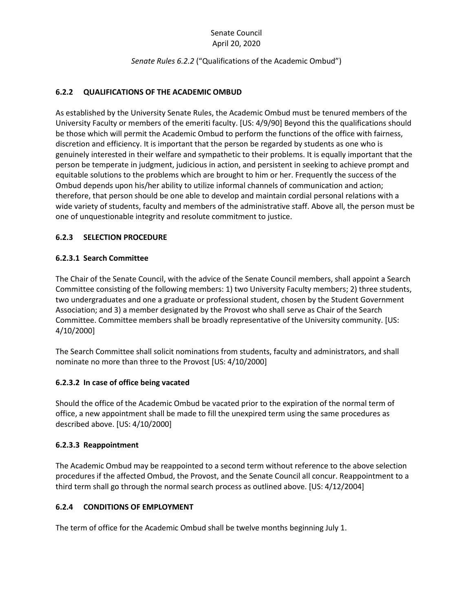# Senate Council April 20, 2020

### *Senate Rules 6.2.2* ("Qualifications of the Academic Ombud")

# **6.2.2 QUALIFICATIONS OF THE ACADEMIC OMBUD**

As established by the University Senate Rules, the Academic Ombud must be tenured members of the University Faculty or members of the emeriti faculty. [US: 4/9/90] Beyond this the qualifications should be those which will permit the Academic Ombud to perform the functions of the office with fairness, discretion and efficiency. It is important that the person be regarded by students as one who is genuinely interested in their welfare and sympathetic to their problems. It is equally important that the person be temperate in judgment, judicious in action, and persistent in seeking to achieve prompt and equitable solutions to the problems which are brought to him or her. Frequently the success of the Ombud depends upon his/her ability to utilize informal channels of communication and action; therefore, that person should be one able to develop and maintain cordial personal relations with a wide variety of students, faculty and members of the administrative staff. Above all, the person must be one of unquestionable integrity and resolute commitment to justice.

### **6.2.3 SELECTION PROCEDURE**

### **6.2.3.1 Search Committee**

The Chair of the Senate Council, with the advice of the Senate Council members, shall appoint a Search Committee consisting of the following members: 1) two University Faculty members; 2) three students, two undergraduates and one a graduate or professional student, chosen by the Student Government Association; and 3) a member designated by the Provost who shall serve as Chair of the Search Committee. Committee members shall be broadly representative of the University community. [US: 4/10/2000]

The Search Committee shall solicit nominations from students, faculty and administrators, and shall nominate no more than three to the Provost [US: 4/10/2000]

#### **6.2.3.2 In case of office being vacated**

Should the office of the Academic Ombud be vacated prior to the expiration of the normal term of office, a new appointment shall be made to fill the unexpired term using the same procedures as described above. [US: 4/10/2000]

#### **6.2.3.3 Reappointment**

The Academic Ombud may be reappointed to a second term without reference to the above selection procedures if the affected Ombud, the Provost, and the Senate Council all concur. Reappointment to a third term shall go through the normal search process as outlined above. [US: 4/12/2004]

# **6.2.4 CONDITIONS OF EMPLOYMENT**

The term of office for the Academic Ombud shall be twelve months beginning July 1.